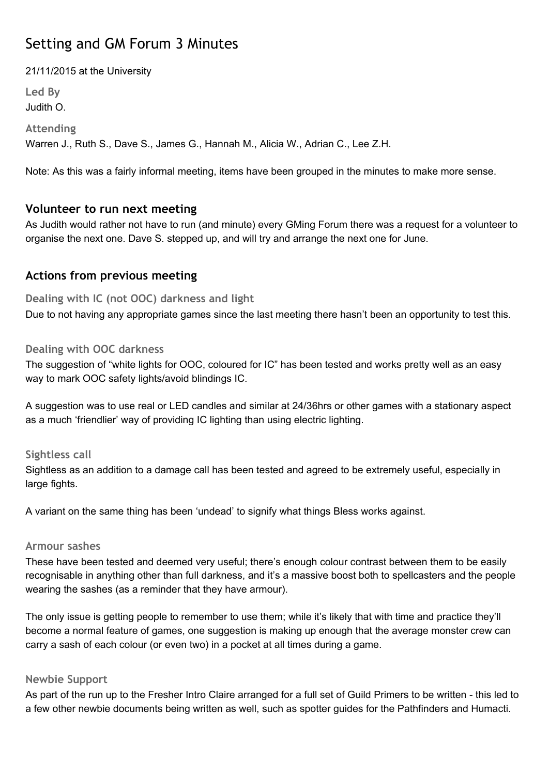# Setting and GM Forum 3 Minutes

21/11/2015 at the University

**Led By** Judith O.

**Attending**

Warren J., Ruth S., Dave S., James G., Hannah M., Alicia W., Adrian C., Lee Z.H.

Note: As this was a fairly informal meeting, items have been grouped in the minutes to make more sense.

# **Volunteer to run next meeting**

As Judith would rather not have to run (and minute) every GMing Forum there was a request for a volunteer to organise the next one. Dave S. stepped up, and will try and arrange the next one for June.

# **Actions from previous meeting**

**Dealing with IC (not OOC) darkness and light**

Due to not having any appropriate games since the last meeting there hasn't been an opportunity to test this.

### **Dealing with OOC darkness**

The suggestion of "white lights for OOC, coloured for IC" has been tested and works pretty well as an easy way to mark OOC safety lights/avoid blindings IC.

A suggestion was to use real or LED candles and similar at 24/36hrs or other games with a stationary aspect as a much 'friendlier' way of providing IC lighting than using electric lighting.

### **Sightless call**

Sightless as an addition to a damage call has been tested and agreed to be extremely useful, especially in large fights.

A variant on the same thing has been 'undead' to signify what things Bless works against.

### **Armour sashes**

These have been tested and deemed very useful; there's enough colour contrast between them to be easily recognisable in anything other than full darkness, and it's a massive boost both to spellcasters and the people wearing the sashes (as a reminder that they have armour).

The only issue is getting people to remember to use them; while it's likely that with time and practice they'll become a normal feature of games, one suggestion is making up enough that the average monster crew can carry a sash of each colour (or even two) in a pocket at all times during a game.

### **Newbie Support**

As part of the run up to the Fresher Intro Claire arranged for a full set of Guild Primers to be written - this led to a few other newbie documents being written as well, such as spotter guides for the Pathfinders and Humacti.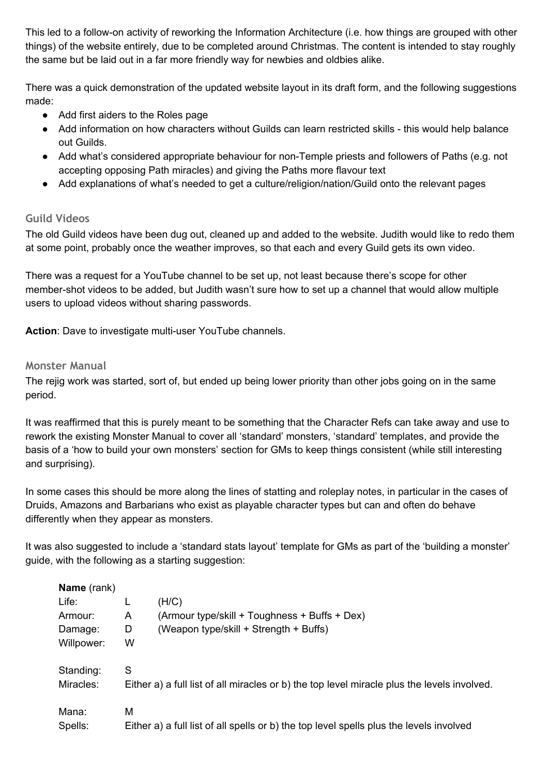This led to a follow-on activity of reworking the Information Architecture (i.e. how things are grouped with other things) of the website entirely, due to be completed around Christmas. The content is intended to stay roughly the same but be laid out in a far more friendly way for newbies and oldbies alike.

There was a quick demonstration of the updated website layout in its draft form, and the following suggestions made:

- Add first aiders to the Roles page
- Add information on how characters without Guilds can learn restricted skills this would help balance out Guilds.
- Add what's considered appropriate behaviour for non-Temple priests and followers of Paths (e.g. not accepting opposing Path miracles) and giving the Paths more flavour text
- Add explanations of what's needed to get a culture/religion/nation/Guild onto the relevant pages

### **Guild Videos**

The old Guild videos have been dug out, cleaned up and added to the website. Judith would like to redo them at some point, probably once the weather improves, so that each and every Guild gets its own video.

There was a request for a YouTube channel to be set up, not least because there's scope for other member-shot videos to be added, but Judith wasn't sure how to set up a channel that would allow multiple users to upload videos without sharing passwords.

**Action:** Dave to investigate multi-user YouTube channels.

#### **Monster Manual**

The rejig work was started, sort of, but ended up being lower priority than other jobs going on in the same period.

It was reaffirmed that this is purely meant to be something that the Character Refs can take away and use to rework the existing Monster Manual to cover all 'standard' monsters, 'standard' templates, and provide the basis of a 'how to build your own monsters' section for GMs to keep things consistent (while still interesting and surprising).

In some cases this should be more along the lines of statting and roleplay notes, in particular in the cases of Druids, Amazons and Barbarians who exist as playable character types but can and often do behave differently when they appear as monsters.

It was also suggested to include a 'standard stats layout' template for GMs as part of the 'building a monster' guide, with the following as a starting suggestion:

| Name (rank) |   |                                                                                             |
|-------------|---|---------------------------------------------------------------------------------------------|
| Life:       |   | (H/C)                                                                                       |
| Armour:     | A | (Armour type/skill + Toughness + Buffs + Dex)                                               |
| Damage:     | D | (Weapon type/skill + Strength + Buffs)                                                      |
| Willpower:  | W |                                                                                             |
| Standing:   | S |                                                                                             |
| Miracles:   |   | Either a) a full list of all miracles or b) the top level miracle plus the levels involved. |
| Mana:       | М |                                                                                             |
| Spells:     |   | Either a) a full list of all spells or b) the top level spells plus the levels involved     |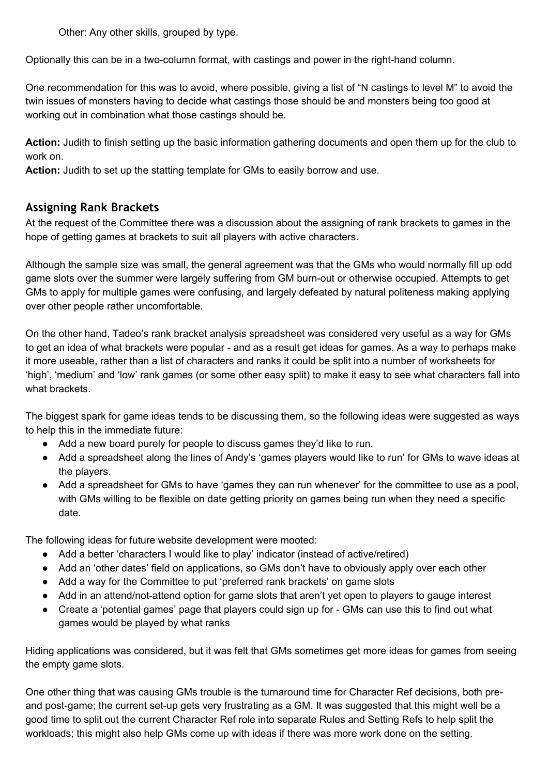Other: Any other skills, grouped by type.

Optionally this can be in a two-column format, with castings and power in the right-hand column.

One recommendation for this was to avoid, where possible, giving a list of "N castings to level M" to avoid the twin issues of monsters having to decide what castings those should be and monsters being too good at working out in combination what those castings should be.

**Action:**Judith to finish setting up the basic information gathering documents and open them up for the club to work on.

**Action:**Judith to set up the statting template for GMs to easily borrow and use.

# **Assigning Rank Brackets**

At the request of the Committee there was a discussion about the assigning of rank brackets to games in the hope of getting games at brackets to suit all players with active characters.

Although the sample size was small, the general agreement was that the GMs who would normally fill up odd game slots over the summer were largely suffering from GM burn-out or otherwise occupied. Attempts to get GMs to apply for multiple games were confusing, and largely defeated by natural politeness making applying over other people rather uncomfortable.

On the other hand, Tadeo's rank bracket analysis spreadsheet was considered very useful as a way for GMs to get an idea of what brackets were popular - and as a result get ideas for games. As a way to perhaps make it more useable, rather than a list of characters and ranks it could be split into a number of worksheets for 'high', 'medium' and 'low' rank games (or some other easy split) to make it easy to see what characters fall into what brackets.

The biggest spark for game ideas tends to be discussing them, so the following ideas were suggested as ways to help this in the immediate future:

- Add a new board purely for people to discuss games they'd like to run.
- Add a spreadsheet along the lines of Andy's 'games players would like to run' for GMs to wave ideas at the players.
- Add a spreadsheet for GMs to have 'games they can run whenever' for the committee to use as a pool, with GMs willing to be flexible on date getting priority on games being run when they need a specific date.

The following ideas for future website development were mooted:

- Add a better 'characters I would like to play' indicator (instead of active/retired)
- Add an 'other dates' field on applications, so GMs don't have to obviously apply over each other
- Add a way for the Committee to put 'preferred rank brackets' on game slots
- Add in an attend/not-attend option for game slots that aren't yet open to players to gauge interest
- Create a 'potential games' page that players could sign up for GMs can use this to find out what games would be played by what ranks

Hiding applications was considered, but it was felt that GMs sometimes get more ideas for games from seeing the empty game slots.

One other thing that was causing GMs trouble is the turnaround time for Character Ref decisions, both preand post-game; the current set-up gets very frustrating as a GM. It was suggested that this might well be a good time to split out the current Character Ref role into separate Rules and Setting Refs to help split the workloads; this might also help GMs come up with ideas if there was more work done on the setting.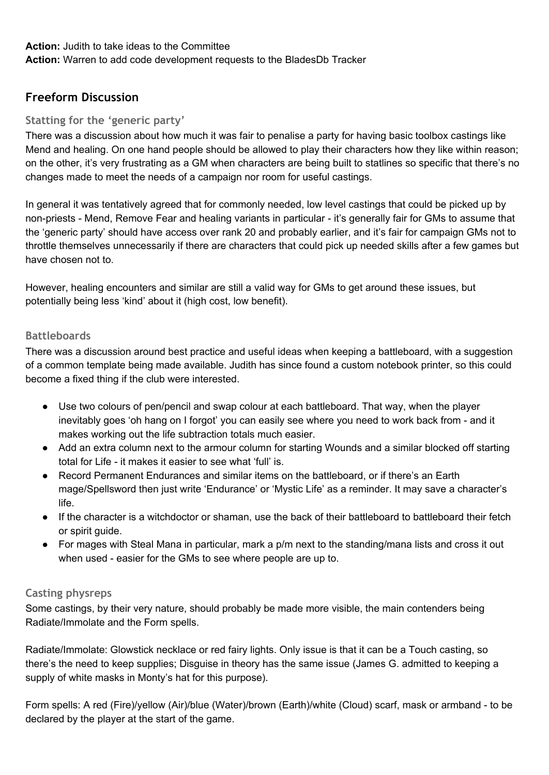### **Action:**Judith to take ideas to the Committee **Action:**Warren to add code development requests to the BladesDb Tracker

# **Freeform Discussion**

# **Statting for the 'generic party'**

There was a discussion about how much it was fair to penalise a party for having basic toolbox castings like Mend and healing. On one hand people should be allowed to play their characters how they like within reason; on the other, it's very frustrating as a GM when characters are being built to statlines so specific that there's no changes made to meet the needs of a campaign nor room for useful castings.

In general it was tentatively agreed that for commonly needed, low level castings that could be picked up by non-priests - Mend, Remove Fear and healing variants in particular - it's generally fair for GMs to assume that the 'generic party' should have access over rank 20 and probably earlier, and it's fair for campaign GMs not to throttle themselves unnecessarily if there are characters that could pick up needed skills after a few games but have chosen not to.

However, healing encounters and similar are still a valid way for GMs to get around these issues, but potentially being less 'kind' about it (high cost, low benefit).

# **Battleboards**

There was a discussion around best practice and useful ideas when keeping a battleboard, with a suggestion of a common template being made available. Judith has since found a custom notebook printer, so this could become a fixed thing if the club were interested.

- Use two colours of pen/pencil and swap colour at each battleboard. That way, when the player inevitably goes 'oh hang on I forgot' you can easily see where you need to work back from - and it makes working out the life subtraction totals much easier.
- Add an extra column next to the armour column for starting Wounds and a similar blocked off starting total for Life - it makes it easier to see what 'full' is.
- Record Permanent Endurances and similar items on the battleboard, or if there's an Earth mage/Spellsword then just write 'Endurance' or 'Mystic Life' as a reminder. It may save a character's life.
- If the character is a witchdoctor or shaman, use the back of their battleboard to battleboard their fetch or spirit guide.
- For mages with Steal Mana in particular, mark a p/m next to the standing/mana lists and cross it out when used - easier for the GMs to see where people are up to.

# **Casting physreps**

Some castings, by their very nature, should probably be made more visible, the main contenders being Radiate/Immolate and the Form spells.

Radiate/Immolate: Glowstick necklace or red fairy lights. Only issue is that it can be a Touch casting, so there's the need to keep supplies; Disguise in theory has the same issue (James G. admitted to keeping a supply of white masks in Monty's hat for this purpose).

Form spells: A red (Fire)/yellow (Air)/blue (Water)/brown (Earth)/white (Cloud) scarf, mask or armband to be declared by the player at the start of the game.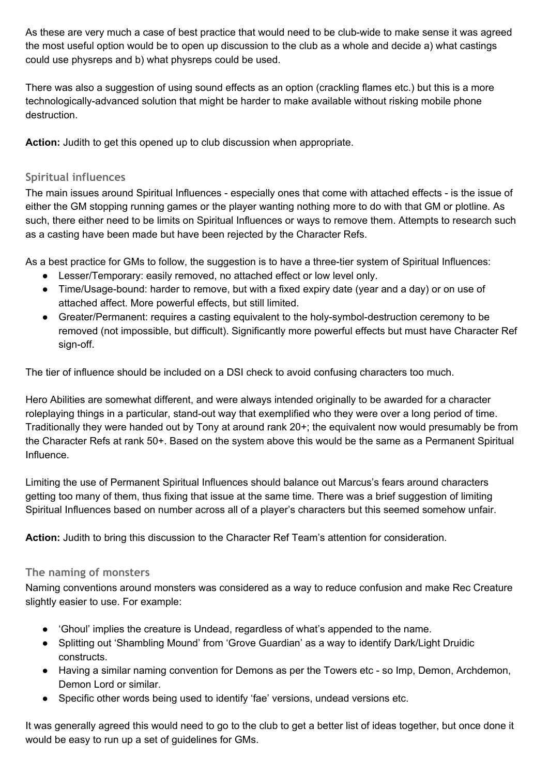As these are very much a case of best practice that would need to be club-wide to make sense it was agreed the most useful option would be to open up discussion to the club as a whole and decide a) what castings could use physreps and b) what physreps could be used.

There was also a suggestion of using sound effects as an option (crackling flames etc.) but this is a more technologically-advanced solution that might be harder to make available without risking mobile phone destruction.

**Action:**Judith to get this opened up to club discussion when appropriate.

### **Spiritual influences**

The main issues around Spiritual Influences - especially ones that come with attached effects - is the issue of either the GM stopping running games or the player wanting nothing more to do with that GM or plotline. As such, there either need to be limits on Spiritual Influences or ways to remove them. Attempts to research such as a casting have been made but have been rejected by the Character Refs.

As a best practice for GMs to follow, the suggestion is to have a three-tier system of Spiritual Influences:

- Lesser/Temporary: easily removed, no attached effect or low level only.
- Time/Usage-bound: harder to remove, but with a fixed expiry date (year and a day) or on use of attached affect. More powerful effects, but still limited.
- Greater/Permanent: requires a casting equivalent to the holy-symbol-destruction ceremony to be removed (not impossible, but difficult). Significantly more powerful effects but must have Character Ref sign-off.

The tier of influence should be included on a DSI check to avoid confusing characters too much.

Hero Abilities are somewhat different, and were always intended originally to be awarded for a character roleplaying things in a particular, stand-out way that exemplified who they were over a long period of time. Traditionally they were handed out by Tony at around rank 20+; the equivalent now would presumably be from the Character Refs at rank 50+. Based on the system above this would be the same as a Permanent Spiritual Influence.

Limiting the use of Permanent Spiritual Influences should balance out Marcus's fears around characters getting too many of them, thus fixing that issue at the same time. There was a brief suggestion of limiting Spiritual Influences based on number across all of a player's characters but this seemed somehow unfair.

**Action:**Judith to bring this discussion to the Character Ref Team's attention for consideration.

### **The naming of monsters**

Naming conventions around monsters was considered as a way to reduce confusion and make Rec Creature slightly easier to use. For example:

- 'Ghoul' implies the creature is Undead, regardless of what's appended to the name.
- Splitting out 'Shambling Mound' from 'Grove Guardian' as a way to identify Dark/Light Druidic constructs.
- Having a similar naming convention for Demons as per the Towers etc so Imp, Demon, Archdemon, Demon Lord or similar.
- Specific other words being used to identify 'fae' versions, undead versions etc.

It was generally agreed this would need to go to the club to get a better list of ideas together, but once done it would be easy to run up a set of guidelines for GMs.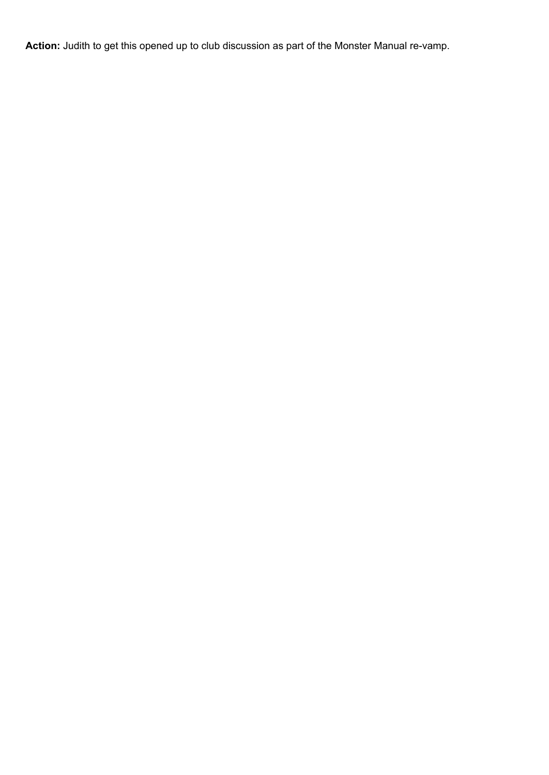Action: Judith to get this opened up to club discussion as part of the Monster Manual re-vamp.